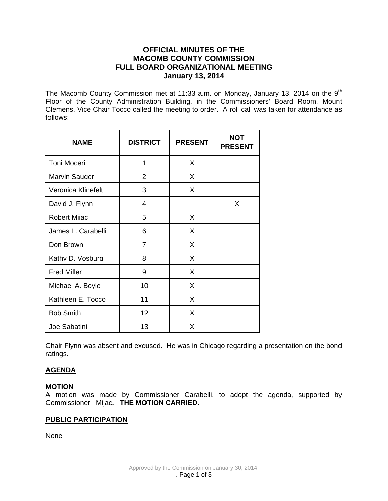# **OFFICIAL MINUTES OF THE MACOMB COUNTY COMMISSION FULL BOARD ORGANIZATIONAL MEETING January 13, 2014**

The Macomb County Commission met at 11:33 a.m. on Monday, January 13, 2014 on the  $9<sup>th</sup>$ Floor of the County Administration Building, in the Commissioners' Board Room, Mount Clemens. Vice Chair Tocco called the meeting to order. A roll call was taken for attendance as follows:

| <b>NAME</b>          | <b>DISTRICT</b> | <b>PRESENT</b> | <b>NOT</b><br><b>PRESENT</b> |
|----------------------|-----------------|----------------|------------------------------|
| Toni Moceri          | 1               | X              |                              |
| <b>Marvin Sauger</b> | $\overline{2}$  | X              |                              |
| Veronica Klinefelt   | 3               | X              |                              |
| David J. Flynn       | 4               |                | X                            |
| <b>Robert Mijac</b>  | 5               | X              |                              |
| James L. Carabelli   | 6               | X              |                              |
| Don Brown            | $\overline{7}$  | X              |                              |
| Kathy D. Vosburg     | 8               | X              |                              |
| <b>Fred Miller</b>   | 9               | X              |                              |
| Michael A. Boyle     | 10              | X              |                              |
| Kathleen E. Tocco    | 11              | X              |                              |
| <b>Bob Smith</b>     | 12 <sup>2</sup> | X              |                              |
| Joe Sabatini         | 13              | X              |                              |

Chair Flynn was absent and excused. He was in Chicago regarding a presentation on the bond ratings.

# **AGENDA**

#### **MOTION**

A motion was made by Commissioner Carabelli, to adopt the agenda, supported by Commissioner Mijac**. THE MOTION CARRIED.** 

# **PUBLIC PARTICIPATION**

None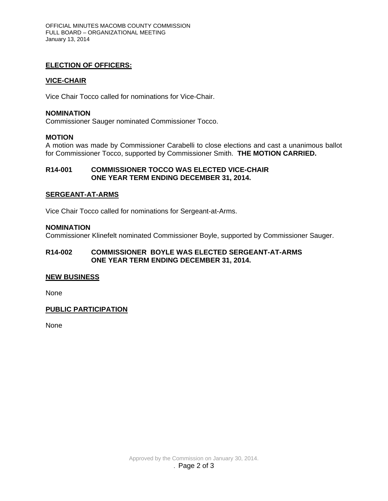# **ELECTION OF OFFICERS:**

## **VICE-CHAIR**

Vice Chair Tocco called for nominations for Vice-Chair.

#### **NOMINATION**

Commissioner Sauger nominated Commissioner Tocco.

### **MOTION**

A motion was made by Commissioner Carabelli to close elections and cast a unanimous ballot for Commissioner Tocco, supported by Commissioner Smith. **THE MOTION CARRIED.**

### **R14-001 COMMISSIONER TOCCO WAS ELECTED VICE-CHAIR ONE YEAR TERM ENDING DECEMBER 31, 2014.**

### **SERGEANT-AT-ARMS**

Vice Chair Tocco called for nominations for Sergeant-at-Arms.

### **NOMINATION**

Commissioner Klinefelt nominated Commissioner Boyle, supported by Commissioner Sauger.

# **R14-002 COMMISSIONER BOYLE WAS ELECTED SERGEANT-AT-ARMS ONE YEAR TERM ENDING DECEMBER 31, 2014.**

#### **NEW BUSINESS**

None

# **PUBLIC PARTICIPATION**

None